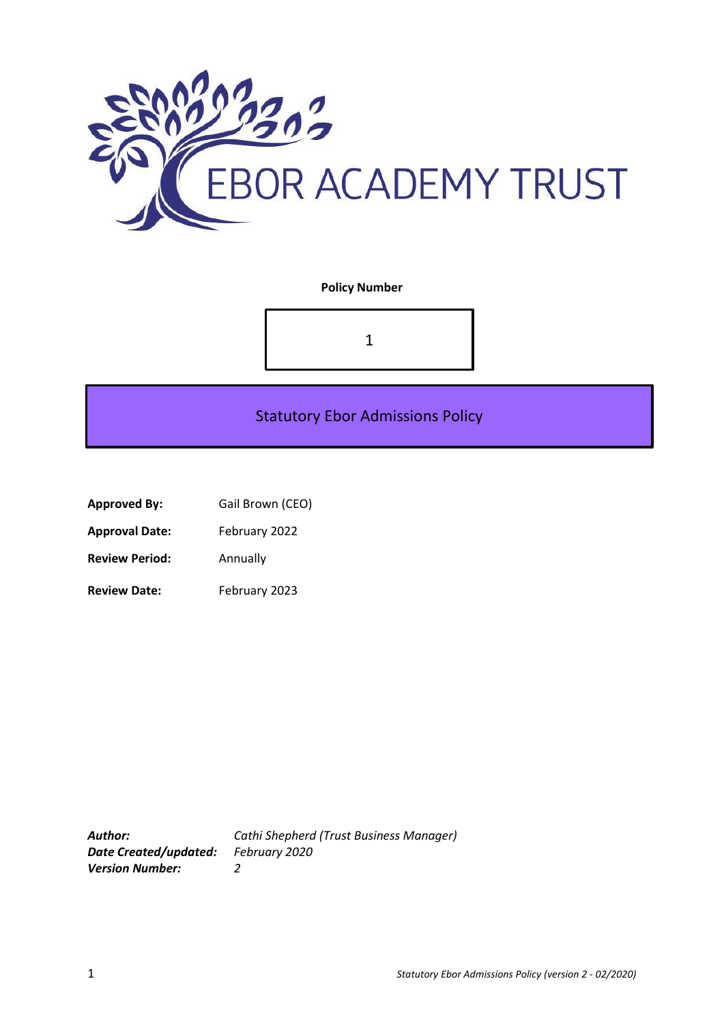

### **Policy Number**



# Statutory Ebor Admissions Policy

| <b>Approved By:</b> | Gail Brown (CEO) |
|---------------------|------------------|
|---------------------|------------------|

**Approval Date:** February 2022

**Review Period:** Annually

Review Date: February 2023

*Date Created/updated: February 2020 Version Number: 2*

*Author: Cathi Shepherd (Trust Business Manager)*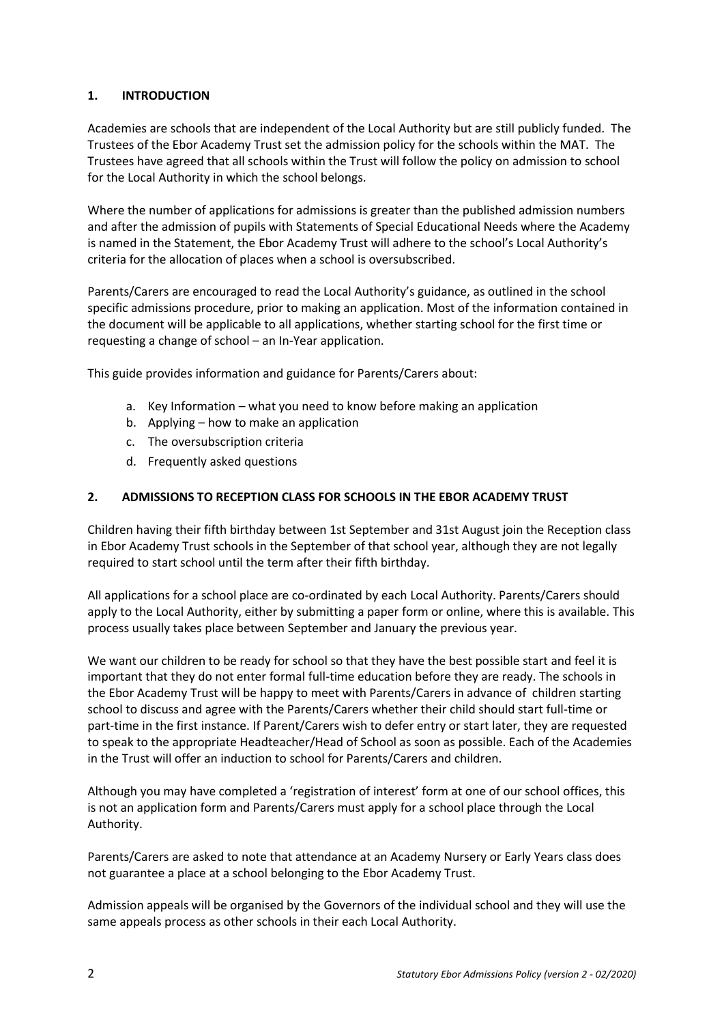# **1. INTRODUCTION**

Academies are schools that are independent of the Local Authority but are still publicly funded. The Trustees of the Ebor Academy Trust set the admission policy for the schools within the MAT. The Trustees have agreed that all schools within the Trust will follow the policy on admission to school for the Local Authority in which the school belongs.

Where the number of applications for admissions is greater than the published admission numbers and after the admission of pupils with Statements of Special Educational Needs where the Academy is named in the Statement, the Ebor Academy Trust will adhere to the school's Local Authority's criteria for the allocation of places when a school is oversubscribed.

Parents/Carers are encouraged to read the Local Authority's guidance, as outlined in the school specific admissions procedure, prior to making an application. Most of the information contained in the document will be applicable to all applications, whether starting school for the first time or requesting a change of school – an In-Year application.

This guide provides information and guidance for Parents/Carers about:

- a. Key Information what you need to know before making an application
- b. Applying how to make an application
- c. The oversubscription criteria
- d. Frequently asked questions

### **2. ADMISSIONS TO RECEPTION CLASS FOR SCHOOLS IN THE EBOR ACADEMY TRUST**

Children having their fifth birthday between 1st September and 31st August join the Reception class in Ebor Academy Trust schools in the September of that school year, although they are not legally required to start school until the term after their fifth birthday.

All applications for a school place are co-ordinated by each Local Authority. Parents/Carers should apply to the Local Authority, either by submitting a paper form or online, where this is available. This process usually takes place between September and January the previous year.

We want our children to be ready for school so that they have the best possible start and feel it is important that they do not enter formal full-time education before they are ready. The schools in the Ebor Academy Trust will be happy to meet with Parents/Carers in advance of children starting school to discuss and agree with the Parents/Carers whether their child should start full-time or part-time in the first instance. If Parent/Carers wish to defer entry or start later, they are requested to speak to the appropriate Headteacher/Head of School as soon as possible. Each of the Academies in the Trust will offer an induction to school for Parents/Carers and children.

Although you may have completed a 'registration of interest' form at one of our school offices, this is not an application form and Parents/Carers must apply for a school place through the Local Authority.

Parents/Carers are asked to note that attendance at an Academy Nursery or Early Years class does not guarantee a place at a school belonging to the Ebor Academy Trust.

Admission appeals will be organised by the Governors of the individual school and they will use the same appeals process as other schools in their each Local Authority.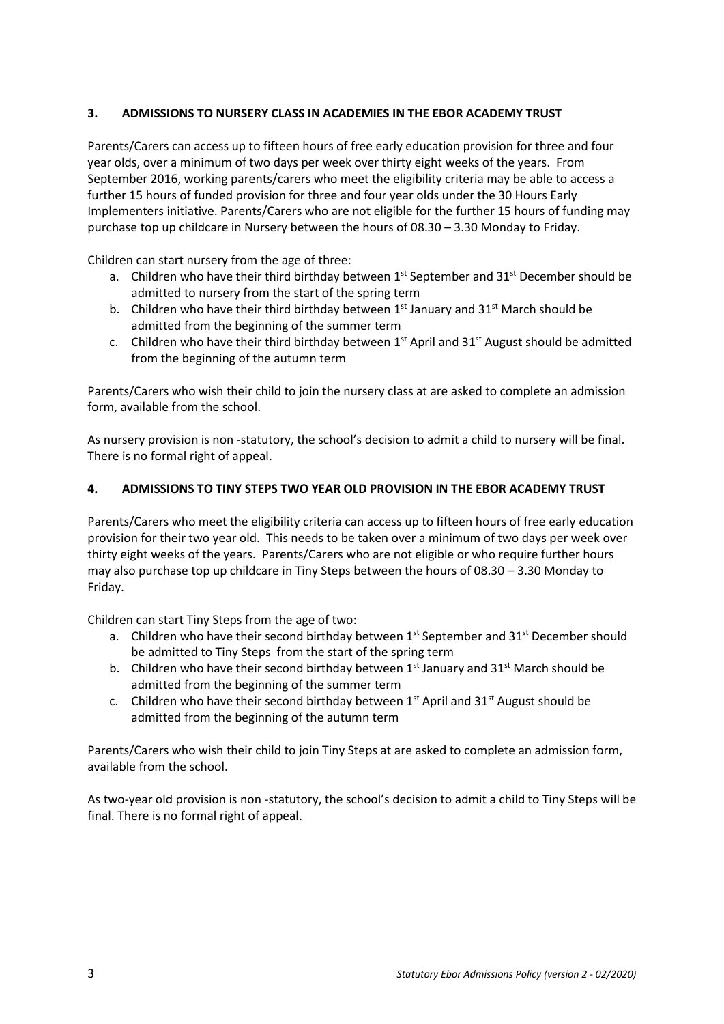## **3. ADMISSIONS TO NURSERY CLASS IN ACADEMIES IN THE EBOR ACADEMY TRUST**

Parents/Carers can access up to fifteen hours of free early education provision for three and four year olds, over a minimum of two days per week over thirty eight weeks of the years. From September 2016, working parents/carers who meet the eligibility criteria may be able to access a further 15 hours of funded provision for three and four year olds under the 30 Hours Early Implementers initiative. Parents/Carers who are not eligible for the further 15 hours of funding may purchase top up childcare in Nursery between the hours of 08.30 – 3.30 Monday to Friday.

Children can start nursery from the age of three:

- a. Children who have their third birthday between  $1<sup>st</sup>$  September and  $31<sup>st</sup>$  December should be admitted to nursery from the start of the spring term
- b. Children who have their third birthday between  $1<sup>st</sup>$  January and  $31<sup>st</sup>$  March should be admitted from the beginning of the summer term
- c. Children who have their third birthday between  $1<sup>st</sup>$  April and  $31<sup>st</sup>$  August should be admitted from the beginning of the autumn term

Parents/Carers who wish their child to join the nursery class at are asked to complete an admission form, available from the school.

As nursery provision is non -statutory, the school's decision to admit a child to nursery will be final. There is no formal right of appeal.

### **4. ADMISSIONS TO TINY STEPS TWO YEAR OLD PROVISION IN THE EBOR ACADEMY TRUST**

Parents/Carers who meet the eligibility criteria can access up to fifteen hours of free early education provision for their two year old. This needs to be taken over a minimum of two days per week over thirty eight weeks of the years. Parents/Carers who are not eligible or who require further hours may also purchase top up childcare in Tiny Steps between the hours of 08.30 – 3.30 Monday to Friday.

Children can start Tiny Steps from the age of two:

- a. Children who have their second birthday between  $1^{st}$  September and  $31^{st}$  December should be admitted to Tiny Steps from the start of the spring term
- b. Children who have their second birthday between  $1^{st}$  January and  $31^{st}$  March should be admitted from the beginning of the summer term
- c. Children who have their second birthday between  $1^{st}$  April and  $31^{st}$  August should be admitted from the beginning of the autumn term

Parents/Carers who wish their child to join Tiny Steps at are asked to complete an admission form, available from the school.

As two-year old provision is non -statutory, the school's decision to admit a child to Tiny Steps will be final. There is no formal right of appeal.